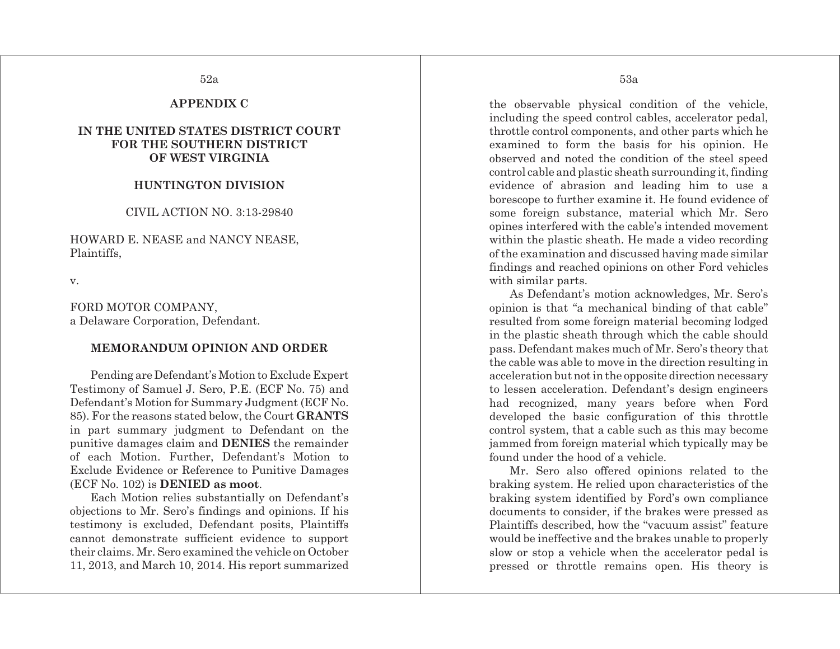## **APPENDIX C**

## **IN THE UNITED STATES DISTRICT COURT FOR THE SOUTHERN DISTRICT OF WEST VIRGINIA**

## **HUNTINGTON DIVISION**

CIVIL ACTION NO. 3:13-29840

HOWARD E. NEASE and NANCY NEASE, Plaintiffs,

v.

FORD MOTOR COMPANY, a Delaware Corporation, Defendant.

## **MEMORANDUM OPINION AND ORDER**

Pending are Defendant's Motion to Exclude Expert Testimony of Samuel J. Sero, P.E. (ECF No. 75) and Defendant's Motion for Summary Judgment (ECF No. 85). For the reasons stated below, the Court **GRANTS** in part summary judgment to Defendant on the punitive damages claim and **DENIES** the remainder of each Motion. Further, Defendant's Motion to Exclude Evidence or Reference to Punitive Damages (ECF No. 102) is **DENIED as moot**.

Each Motion relies substantially on Defendant's objections to Mr. Sero's findings and opinions. If his testimony is excluded, Defendant posits, Plaintiffs cannot demonstrate sufficient evidence to support their claims. Mr. Sero examined the vehicle on October 11, 2013, and March 10, 2014. His report summarized

the observable physical condition of the vehicle, including the speed control cables, accelerator pedal, throttle control components, and other parts which he examined to form the basis for his opinion. He observed and noted the condition of the steel speed control cable and plastic sheath surrounding it, finding evidence of abrasion and leading him to use a borescope to further examine it. He found evidence of some foreign substance, material which Mr. Sero opines interfered with the cable's intended movement within the plastic sheath. He made a video recording of the examination and discussed having made similar findings and reached opinions on other Ford vehicles with similar parts.

As Defendant's motion acknowledges, Mr. Sero's opinion is that "a mechanical binding of that cable" resulted from some foreign material becoming lodged in the plastic sheath through which the cable should pass. Defendant makes much of Mr. Sero's theory that the cable was able to move in the direction resulting in acceleration but not in the opposite direction necessary to lessen acceleration. Defendant's design engineers had recognized, many years before when Ford developed the basic configuration of this throttle control system, that a cable such as this may become jammed from foreign material which typically may be found under the hood of a vehicle.

Mr. Sero also offered opinions related to the braking system. He relied upon characteristics of the braking system identified by Ford's own compliance documents to consider, if the brakes were pressed as Plaintiffs described, how the "vacuum assist" feature would be ineffective and the brakes unable to properly slow or stop a vehicle when the accelerator pedal is pressed or throttle remains open. His theory is